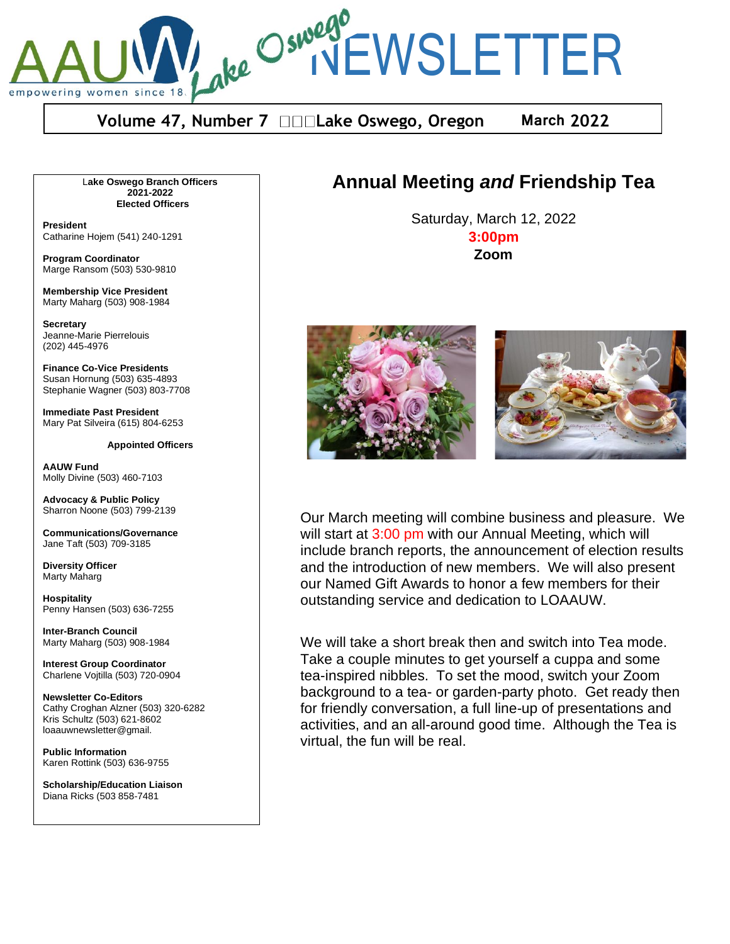ake Oswego<br>Ake Oswego<br>INEWSLETTER empowering women since

**Volume 47, Number 7 □□□Lake Oswego, Oregon March 2022** 

L**ake Oswego Branch Officers 2021-2022 Elected Officers**

**President** Catharine Hojem (541) 240-1291

**Program Coordinator** Marge Ransom (503) 530-9810

**Membership Vice President** Marty Maharg (503) 908-1984

**Secretary** Jeanne-Marie Pierrelouis (202) 445-4976

**Finance Co-Vice Presidents** Susan Hornung (503) 635-4893 Stephanie Wagner (503) 803-7708

**Immediate Past President** Mary Pat Silveira (615) 804-6253

**Appointed Officers**

**AAUW Fund** Molly Divine (503) 460-7103

**Advocacy & Public Policy** Sharron Noone (503) 799-2139

**Communications/Governance** Jane Taft (503) 709-3185

**Diversity Officer** Marty Maharg

**Hospitality** Penny Hansen (503) 636-7255

**Inter-Branch Council** Marty Maharg (503) 908-1984

**Interest Group Coordinator** Charlene Vojtilla (503) 720-0904

**Newsletter Co-Editors** Cathy Croghan Alzner (503) 320-6282 Kris Schultz (503) 621-8602 loaauwnewsletter@gmail.

**Public Information** Karen Rottink (503) 636-9755

**Scholarship/Education Liaison**  Diana Ricks (503 858-7481

## **Annual Meeting** *and* **Friendship Tea**

Saturday, March 12, 2022 **3:00pm Zoom**



Our March meeting will combine business and pleasure. We will start at 3:00 pm with our Annual Meeting, which will include branch reports, the announcement of election results and the introduction of new members. We will also present our Named Gift Awards to honor a few members for their outstanding service and dedication to LOAAUW.

We will take a short break then and switch into Tea mode. Take a couple minutes to get yourself a cuppa and some tea-inspired nibbles. To set the mood, switch your Zoom background to a tea- or garden-party photo. Get ready then for friendly conversation, a full line-up of presentations and activities, and an all-around good time. Although the Tea is virtual, the fun will be real.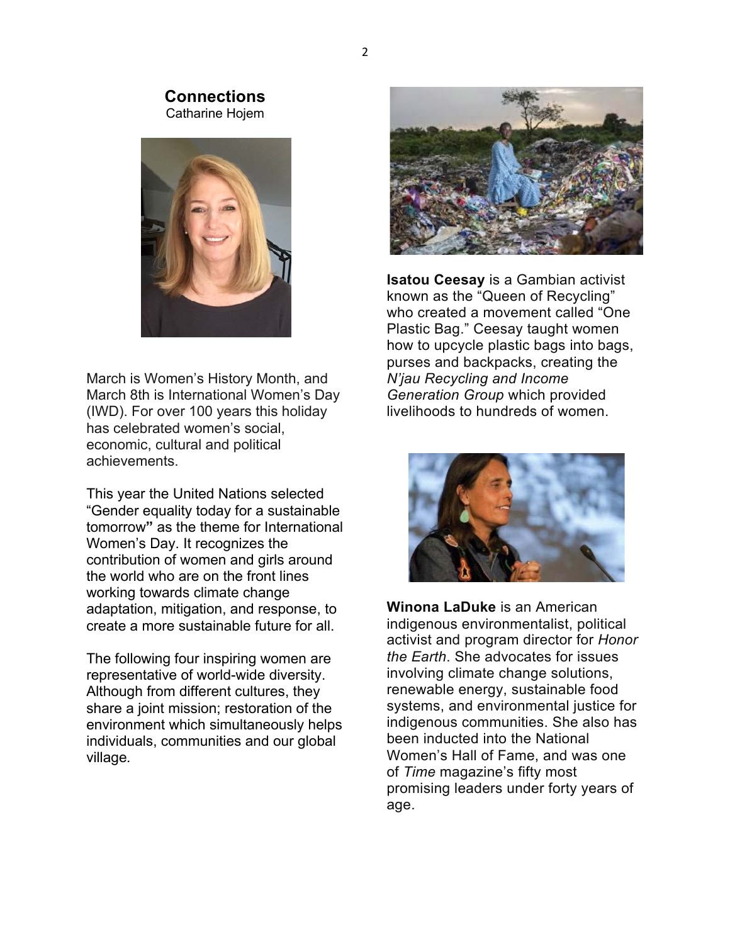#### **Connections** Catharine Hojem



March is Women's History Month, and March 8th is International Women's Day (IWD). For over 100 years this holiday has celebrated women's social, economic, cultural and political achievements.

This year the United Nations selected "Gender equality today for a sustainable tomorrow**"** as the theme for International Women's Day. It recognizes the contribution of women and girls around the world who are on the front lines working towards climate change adaptation, mitigation, and response, to create a more sustainable future for all.

The following four inspiring women are representative of world-wide diversity. Although from different cultures, they share a joint mission; restoration of the environment which simultaneously helps individuals, communities and our global village*.*



**Isatou Ceesay** is a Gambian activist known as the "Queen of Recycling" who created a movement called "One Plastic Bag." Ceesay taught women how to upcycle plastic bags into bags, purses and backpacks, creating the *N'jau Recycling and Income Generation Group* which provided livelihoods to hundreds of women.



**Winona LaDuke** is an American indigenous environmentalist, political activist and program director for *Honor the Earth*. She advocates for issues involving climate change solutions, renewable energy, sustainable food systems, and environmental justice for indigenous communities. She also has been inducted into the National Women's Hall of Fame, and was one of *Time* magazine's fifty most promising leaders under forty years of age.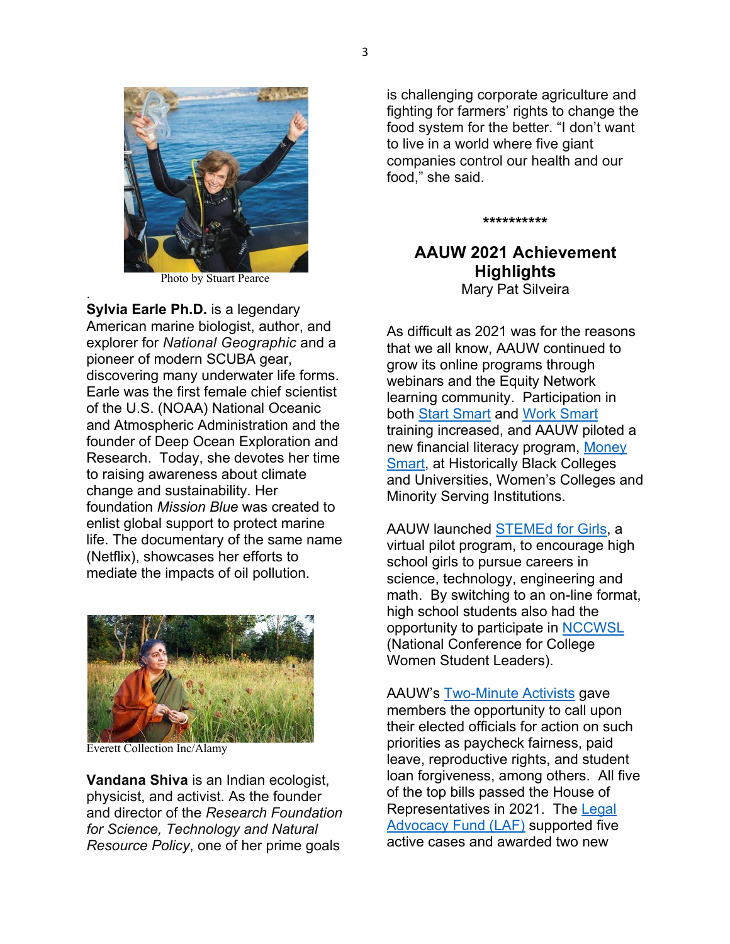

3



Photo by Stuart Pearce

. **Sylvia Earle Ph.D.** is a legendary American marine biologist, author, and explorer for *National Geographic* and a pioneer of modern SCUBA gear, discovering many underwater life forms. Earle was the first female chief scientist of the U.S. (NOAA) National Oceanic and Atmospheric Administration and the founder of Deep Ocean Exploration and Research. Today, she devotes her time to raising awareness about climate change and sustainability. Her foundation *Mission Blue* was created to enlist global support to protect marine life. The documentary of the same name (Netflix), showcases her efforts to mediate the impacts of oil pollution.



Everett Collection Inc/Alamy

**Vandana Shiva** is an Indian ecologist, physicist, and activist. As the founder and director of the *Research Foundation for Science, Technology and Natural Resource Policy*, one of her prime goals

is challenging corporate agriculture and fighting for farmers' rights to change the food system for the better. "I don't want to live in a world where five giant companies control our health and our food," she said.

**\*\*\*\*\*\*\*\*\*\***

#### **AAUW 2021 Achievement Highlights** Mary Pat Silveira

As difficult as 2021 was for the reasons that we all know, AAUW continued to grow its online programs through webinars and the Equity Network learning community. Participation in both Start Smart and Work Smart training increased, and AAUW piloted a new financial literacy program, Money Smart, at Historically Black Colleges and Universities, Women's Colleges and Minority Serving Institutions.

AAUW launched STEMEd for Girls, a virtual pilot program, to encourage high school girls to pursue careers in science, technology, engineering and math. By switching to an on-line format, high school students also had the opportunity to participate in NCCWSL (National Conference for College Women Student Leaders).

AAUW's Two-Minute Activists gave members the opportunity to call upon their elected officials for action on such priorities as paycheck fairness, paid leave, reproductive rights, and student loan forgiveness, among others. All five of the top bills passed the House of Representatives in 2021. The Legal Advocacy Fund (LAF) supported five active cases and awarded two new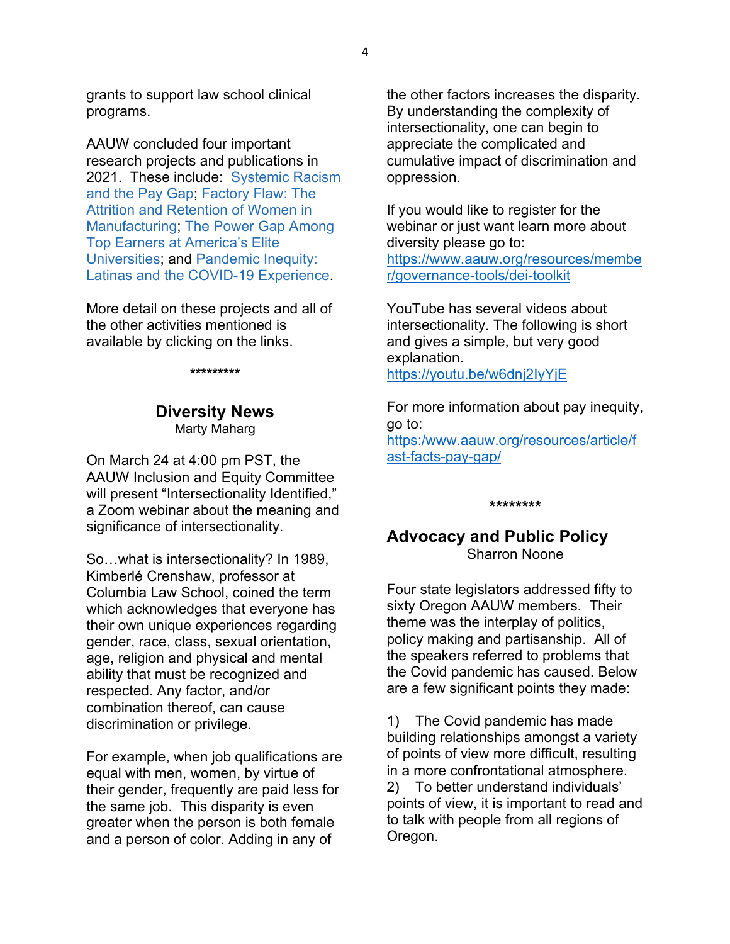grants to support law school clinical programs.

AAUW concluded four important research projects and publications in 2021. These include: Systemic Racism and the Pay Gap; Factory Flaw: The Attrition and Retention of Women in Manufacturing; The Power Gap Among Top Earners at America's Elite Universities; and Pandemic Inequity: Latinas and the COVID-19 Experience.

More detail on these projects and all of the other activities mentioned is available by clicking on the links.

**\*\*\*\*\*\*\*\*\***

#### **Diversity News** Marty Maharg

On March 24 at 4:00 pm PST, the AAUW Inclusion and Equity Committee will present "Intersectionality Identified," a Zoom webinar about the meaning and significance of intersectionality.

So…what is intersectionality? In 1989, Kimberlé Crenshaw, professor at Columbia Law School, coined the term which acknowledges that everyone has their own unique experiences regarding gender, race, class, sexual orientation, age, religion and physical and mental ability that must be recognized and respected. Any factor, and/or combination thereof, can cause discrimination or privilege.

For example, when job qualifications are equal with men, women, by virtue of their gender, frequently are paid less for the same job. This disparity is even greater when the person is both female and a person of color. Adding in any of

the other factors increases the disparity. By understanding the complexity of intersectionality, one can begin to appreciate the complicated and cumulative impact of discrimination and oppression.

If you would like to register for the webinar or just want learn more about diversity please go to: https://www.aauw.org/resources/membe r/governance-tools/dei-toolkit

YouTube has several videos about intersectionality. The following is short and gives a simple, but very good explanation. https://youtu.be/w6dnj2IyYjE

For more information about pay inequity, go to: https:/www.aauw.org/resources/article/f ast-facts-pay-gap/

#### **\*\*\*\*\*\*\*\***

### **Advocacy and Public Policy** Sharron Noone

Four state legislators addressed fifty to sixty Oregon AAUW members. Their theme was the interplay of politics, policy making and partisanship. All of the speakers referred to problems that the Covid pandemic has caused. Below are a few significant points they made:

1) The Covid pandemic has made building relationships amongst a variety of points of view more difficult, resulting in a more confrontational atmosphere. 2) To better understand individuals' points of view, it is important to read and to talk with people from all regions of Oregon.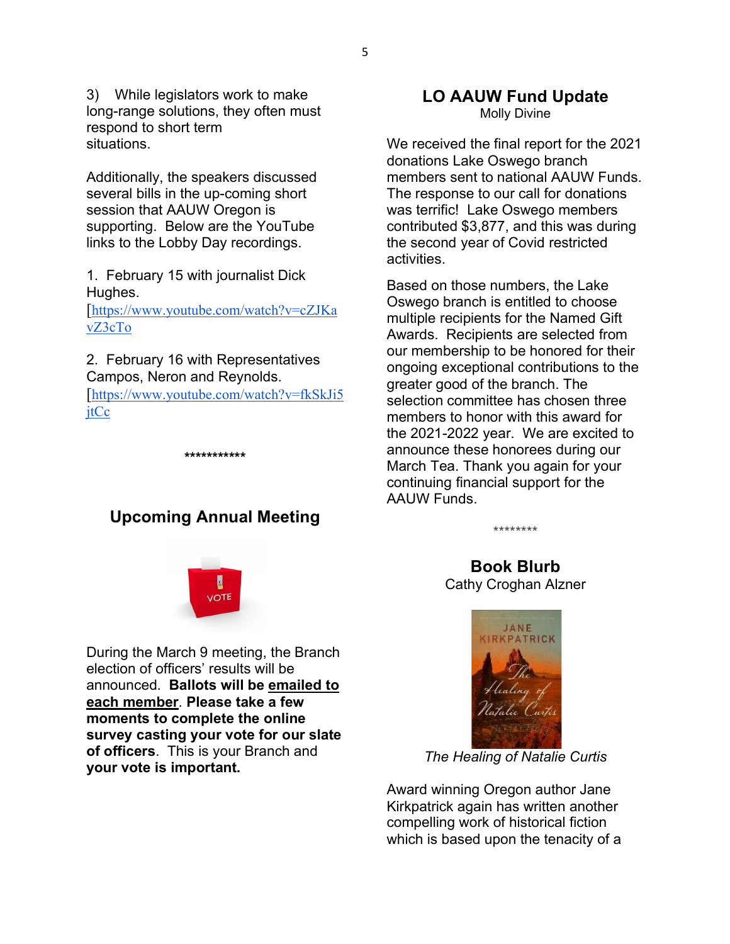3) While legislators work to make long-range solutions, they often must respond to short term situations.

Additionally, the speakers discussed several bills in the up-coming short session that AAUW Oregon is supporting. Below are the YouTube links to the Lobby Day recordings.

1. February 15 with journalist Dick Hughes.

[https://www.youtube.com/watch?v=cZJKa vZ3cTo

2. February 16 with Representatives Campos, Neron and Reynolds.

[https://www.youtube.com/watch?v=fkSkJi5 jtCc

**\*\*\*\*\*\*\*\*\*\*\***

## **Upcoming Annual Meeting**



During the March 9 meeting, the Branch election of officers' results will be announced. **Ballots will be emailed to each member**. **Please take a few moments to complete the online survey casting your vote for our slate of officers**. This is your Branch and **your vote is important.**

# **LO AAUW Fund Update**

Molly Divine

We received the final report for the 2021 donations Lake Oswego branch members sent to national AAUW Funds. The response to our call for donations was terrific! Lake Oswego members contributed \$3,877, and this was during the second year of Covid restricted activities.

Based on those numbers, the Lake Oswego branch is entitled to choose multiple recipients for the Named Gift Awards. Recipients are selected from our membership to be honored for their ongoing exceptional contributions to the greater good of the branch. The selection committee has chosen three members to honor with this award for the 2021-2022 year. We are excited to announce these honorees during our March Tea. Thank you again for your continuing financial support for the AAUW Funds.

\*\*\*\*\*\*\*\*

**Book Blurb** Cathy Croghan Alzner



*The Healing of Natalie Curtis*

Award winning Oregon author Jane Kirkpatrick again has written another compelling work of historical fiction which is based upon the tenacity of a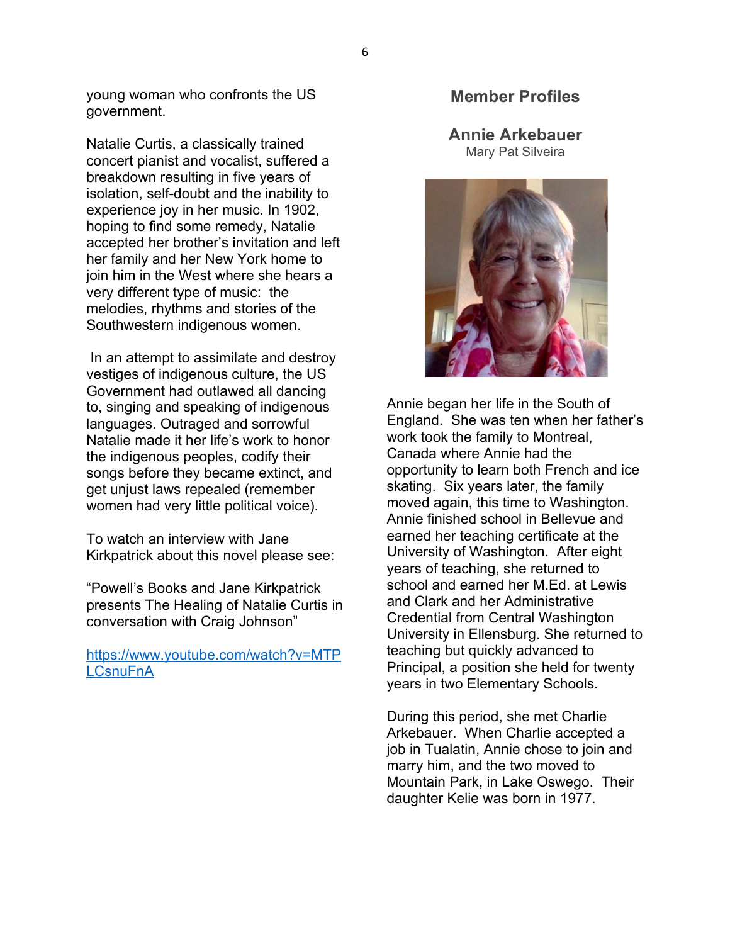young woman who confronts the US government.

Natalie Curtis, a classically trained concert pianist and vocalist, suffered a breakdown resulting in five years of isolation, self-doubt and the inability to experience joy in her music. In 1902, hoping to find some remedy, Natalie accepted her brother's invitation and left her family and her New York home to join him in the West where she hears a very different type of music: the melodies, rhythms and stories of the Southwestern indigenous women.

In an attempt to assimilate and destroy vestiges of indigenous culture, the US Government had outlawed all dancing to, singing and speaking of indigenous languages. Outraged and sorrowful Natalie made it her life's work to honor the indigenous peoples, codify their songs before they became extinct, and get unjust laws repealed (remember women had very little political voice).

To watch an interview with Jane Kirkpatrick about this novel please see:

"Powell's Books and Jane Kirkpatrick presents The Healing of Natalie Curtis in conversation with Craig Johnson"

https://www.youtube.com/watch?v=MTP **LCsnuFnA** 

#### **Member Profiles**

**Annie Arkebauer**  Mary Pat Silveira



Annie began her life in the South of England. She was ten when her father's work took the family to Montreal, Canada where Annie had the opportunity to learn both French and ice skating. Six years later, the family moved again, this time to Washington. Annie finished school in Bellevue and earned her teaching certificate at the University of Washington. After eight years of teaching, she returned to school and earned her M.Ed. at Lewis and Clark and her Administrative Credential from Central Washington University in Ellensburg. She returned to teaching but quickly advanced to Principal, a position she held for twenty years in two Elementary Schools.

During this period, she met Charlie Arkebauer. When Charlie accepted a job in Tualatin, Annie chose to join and marry him, and the two moved to Mountain Park, in Lake Oswego. Their daughter Kelie was born in 1977.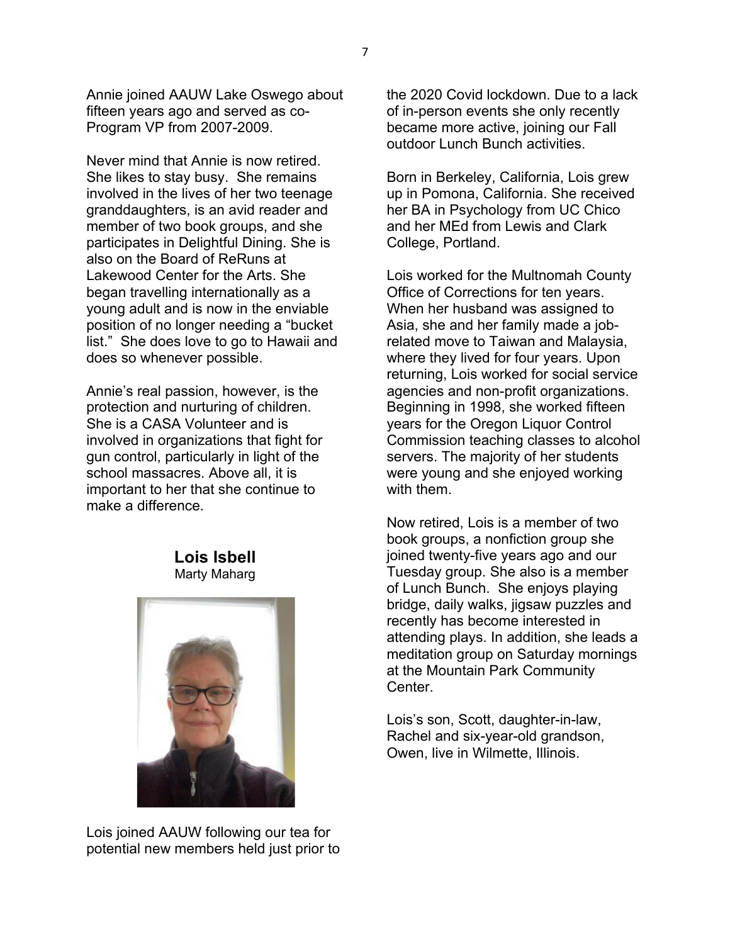Annie joined AAUW Lake Oswego about fifteen years ago and served as co-Program VP from 2007-2009.

Never mind that Annie is now retired. She likes to stay busy. She remains involved in the lives of her two teenage granddaughters, is an avid reader and member of two book groups, and she participates in Delightful Dining. She is also on the Board of ReRuns at Lakewood Center for the Arts. She began travelling internationally as a young adult and is now in the enviable position of no longer needing a "bucket list." She does love to go to Hawaii and does so whenever possible.

Annie's real passion, however, is the protection and nurturing of children. She is a CASA Volunteer and is involved in organizations that fight for gun control, particularly in light of the school massacres. Above all, it is important to her that she continue to make a difference.

#### **Lois Isbell** Marty Maharg



Lois joined AAUW following our tea for potential new members held just prior to the 2020 Covid lockdown. Due to a lack of in-person events she only recently became more active, joining our Fall outdoor Lunch Bunch activities.

Born in Berkeley, California, Lois grew up in Pomona, California. She received her BA in Psychology from UC Chico and her MEd from Lewis and Clark College, Portland.

Lois worked for the Multnomah County Office of Corrections for ten years. When her husband was assigned to Asia, she and her family made a jobrelated move to Taiwan and Malaysia, where they lived for four years. Upon returning, Lois worked for social service agencies and non-profit organizations. Beginning in 1998, she worked fifteen years for the Oregon Liquor Control Commission teaching classes to alcohol servers. The majority of her students were young and she enjoyed working with them.

Now retired, Lois is a member of two book groups, a nonfiction group she joined twenty-five years ago and our Tuesday group. She also is a member of Lunch Bunch. She enjoys playing bridge, daily walks, jigsaw puzzles and recently has become interested in attending plays. In addition, she leads a meditation group on Saturday mornings at the Mountain Park Community Center.

Lois's son, Scott, daughter-in-law, Rachel and six-year-old grandson, Owen, live in Wilmette, Illinois.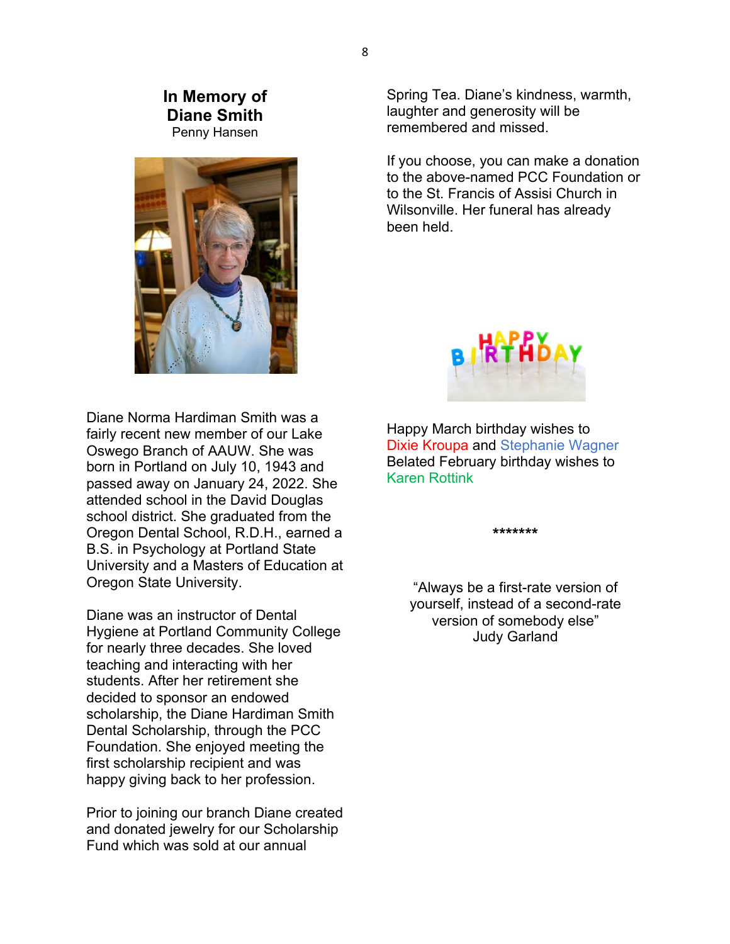#### **In Memory of Diane Smith** Penny Hansen



Diane Norma Hardiman Smith was a fairly recent new member of our Lake Oswego Branch of AAUW. She was born in Portland on July 10, 1943 and passed away on January 24, 2022. She attended school in the David Douglas school district. She graduated from the Oregon Dental School, R.D.H., earned a B.S. in Psychology at Portland State University and a Masters of Education at Oregon State University.

Diane was an instructor of Dental Hygiene at Portland Community College for nearly three decades. She loved teaching and interacting with her students. After her retirement she decided to sponsor an endowed scholarship, the Diane Hardiman Smith Dental Scholarship, through the PCC Foundation. She enjoyed meeting the first scholarship recipient and was happy giving back to her profession.

Prior to joining our branch Diane created and donated jewelry for our Scholarship Fund which was sold at our annual

Spring Tea. Diane's kindness, warmth, laughter and generosity will be remembered and missed.

If you choose, you can make a donation to the above-named PCC Foundation or to the St. Francis of Assisi Church in Wilsonville. Her funeral has already been held.



Happy March birthday wishes to Dixie Kroupa and Stephanie Wagner Belated February birthday wishes to Karen Rottink

**\*\*\*\*\*\*\***

"Always be a first-rate version of yourself, instead of a second-rate version of somebody else" Judy Garland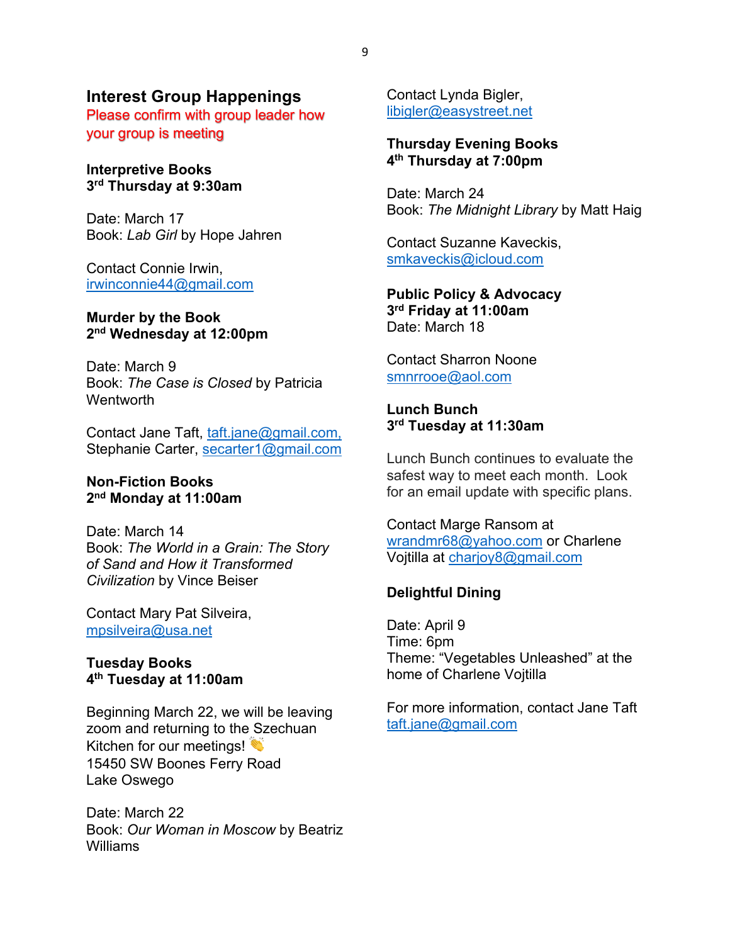#### **Interest Group Happenings**

Please confirm with group leader how your group is meeting

#### **Interpretive Books 3rd Thursday at 9:30am**

Date: March 17 Book: *Lab Girl* by Hope Jahren

Contact Connie Irwin, irwinconnie44@gmail.com

#### **Murder by the Book 2nd Wednesday at 12:00pm**

Date: March 9 Book: *The Case is Closed* by Patricia **Wentworth** 

Contact Jane Taft, taft.jane@gmail.com, Stephanie Carter, secarter1@gmail.com

#### **Non-Fiction Books 2nd Monday at 11:00am**

Date: March 14 Book: *The World in a Grain: The Story of Sand and How it Transformed Civilization* by Vince Beiser

Contact Mary Pat Silveira, mpsilveira@usa.net

#### **Tuesday Books 4th Tuesday at 11:00am**

Beginning March 22, we will be leaving zoom and returning to the Szechuan Kitchen for our meetings! 15450 SW Boones Ferry Road Lake Oswego

Date: March 22 Book: *Our Woman in Moscow* by Beatriz Williams

Contact Lynda Bigler, libigler@easystreet.net

#### **Thursday Evening Books 4th Thursday at 7:00pm**

Date: March 24 Book: *The Midnight Library* by Matt Haig

Contact Suzanne Kaveckis, smkaveckis@icloud.com

**Public Policy & Advocacy 3rd Friday at 11:00am** Date: March 18

Contact Sharron Noone smnrrooe@aol.com

#### **Lunch Bunch 3rd Tuesday at 11:30am**

Lunch Bunch continues to evaluate the safest way to meet each month. Look for an email update with specific plans.

#### Contact Marge Ransom at wrandmr68@yahoo.com or Charlene Vojtilla at charjoy8@gmail.com

#### **Delightful Dining**

Date: April 9 Time: 6pm Theme: "Vegetables Unleashed" at the home of Charlene Vojtilla

For more information, contact Jane Taft taft.jane@gmail.com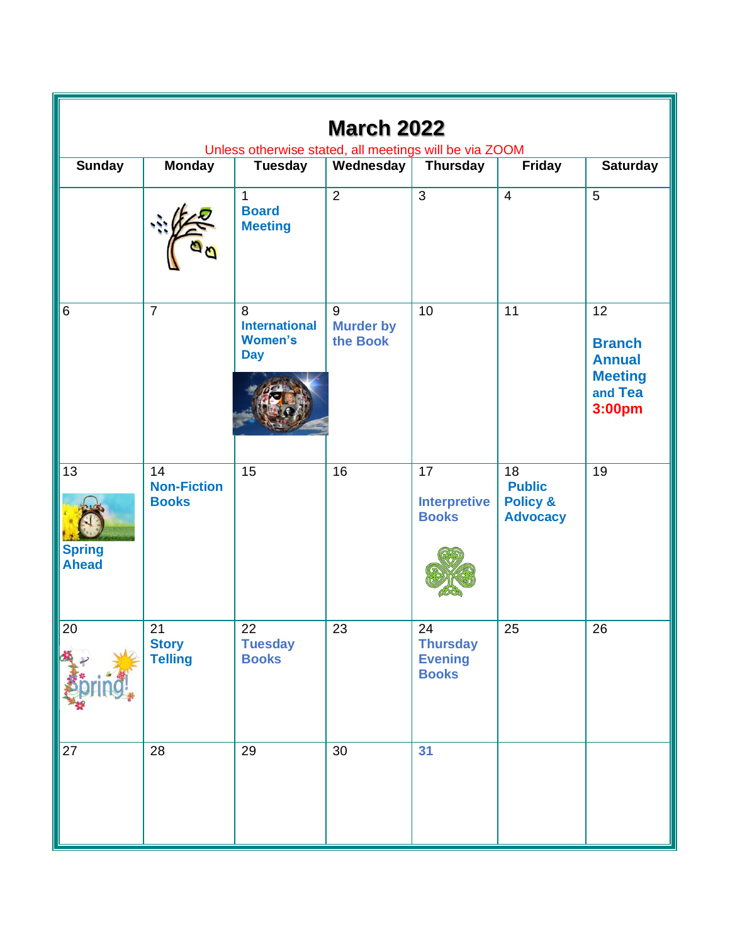| <b>March 2022</b><br>Unless otherwise stated, all meetings will be via ZOOM |                                          |                                                           |                                       |                                                         |                                                                            |                                                                                          |  |  |  |  |
|-----------------------------------------------------------------------------|------------------------------------------|-----------------------------------------------------------|---------------------------------------|---------------------------------------------------------|----------------------------------------------------------------------------|------------------------------------------------------------------------------------------|--|--|--|--|
| <b>Sunday</b>                                                               | <b>Monday</b>                            | <b>Tuesday</b>                                            | Wednesday                             | <b>Thursday</b>                                         | <b>Friday</b>                                                              | <b>Saturday</b>                                                                          |  |  |  |  |
|                                                                             |                                          | $\mathbf{1}$<br><b>Board</b><br><b>Meeting</b>            | $\overline{2}$                        | $\overline{3}$                                          | $\overline{4}$                                                             | $\overline{5}$                                                                           |  |  |  |  |
| 6                                                                           | $\overline{7}$                           | 8<br><b>International</b><br><b>Women's</b><br><b>Day</b> | $9\,$<br><b>Murder by</b><br>the Book | 10                                                      | 11                                                                         | $\overline{12}$<br><b>Branch</b><br><b>Annual</b><br><b>Meeting</b><br>and Tea<br>3:00pm |  |  |  |  |
| 13<br><b>Spring</b><br><b>Ahead</b>                                         | 14<br><b>Non-Fiction</b><br><b>Books</b> | 15                                                        | 16                                    | $\overline{17}$<br><b>Interpretive</b><br><b>Books</b>  | $\overline{18}$<br><b>Public</b><br><b>Policy &amp;</b><br><b>Advocacy</b> | 19                                                                                       |  |  |  |  |
| 20                                                                          | 21<br><b>Story</b><br><b>Telling</b>     | 22<br><b>Tuesday</b><br><b>Books</b>                      | 23                                    | 24<br><b>Thursday</b><br><b>Evening</b><br><b>Books</b> | 25                                                                         | 26                                                                                       |  |  |  |  |
| 27                                                                          | 28                                       | 29                                                        | 30                                    | 31                                                      |                                                                            |                                                                                          |  |  |  |  |